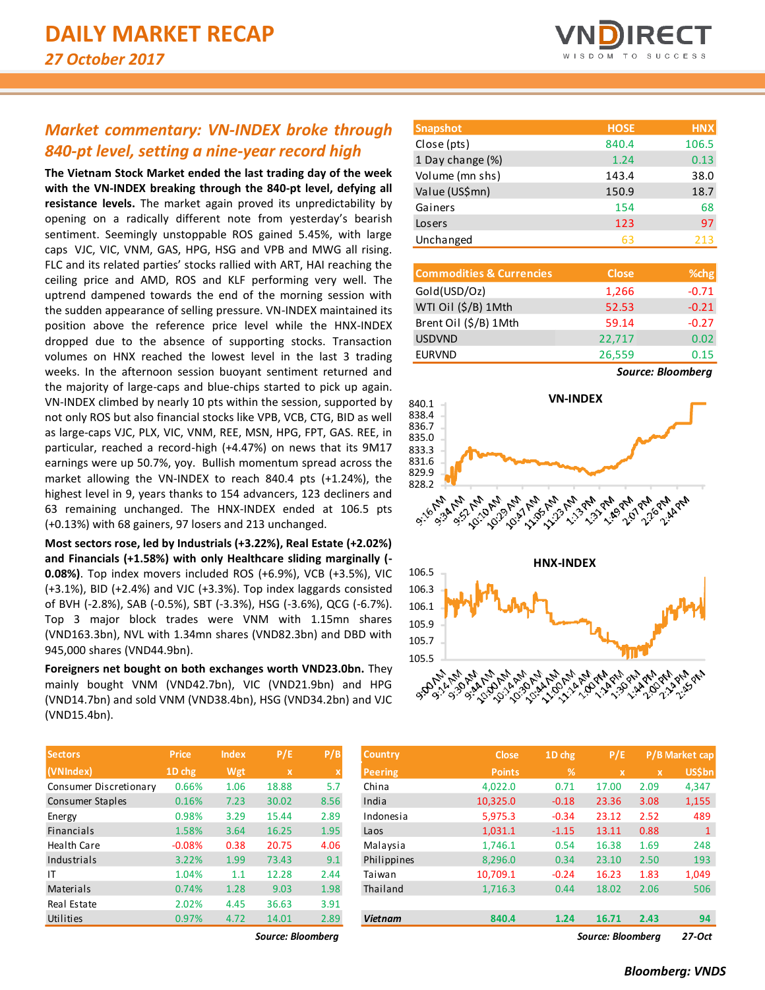## *Market commentary: VN-INDEX broke through 840-pt level, setting a nine-year record high*

**The Vietnam Stock Market ended the last trading day of the week with the VN-INDEX breaking through the 840-pt level, defying all resistance levels.** The market again proved its unpredictability by opening on a radically different note from yesterday's bearish sentiment. Seemingly unstoppable ROS gained 5.45%, with large caps VJC, VIC, VNM, GAS, HPG, HSG and VPB and MWG all rising. FLC and its related parties' stocks rallied with ART, HAI reaching the ceiling price and AMD, ROS and KLF performing very well. The uptrend dampened towards the end of the morning session with the sudden appearance of selling pressure. VN-INDEX maintained its position above the reference price level while the HNX-INDEX dropped due to the absence of supporting stocks. Transaction volumes on HNX reached the lowest level in the last 3 trading weeks. In the afternoon session buoyant sentiment returned and the majority of large-caps and blue-chips started to pick up again. VN-INDEX climbed by nearly 10 pts within the session, supported by not only ROS but also financial stocks like VPB, VCB, CTG, BID as well as large-caps VJC, PLX, VIC, VNM, REE, MSN, HPG, FPT, GAS. REE, in particular, reached a record-high (+4.47%) on news that its 9M17 earnings were up 50.7%, yoy. Bullish momentum spread across the market allowing the VN-INDEX to reach 840.4 pts (+1.24%), the highest level in 9, years thanks to 154 advancers, 123 decliners and 63 remaining unchanged. The HNX-INDEX ended at 106.5 pts (+0.13%) with 68 gainers, 97 losers and 213 unchanged.

**Most sectors rose, led by Industrials (+3.22%), Real Estate (+2.02%) and Financials (+1.58%) with only Healthcare sliding marginally (- 0.08%)**. Top index movers included ROS (+6.9%), VCB (+3.5%), VIC (+3.1%), BID (+2.4%) and VJC (+3.3%). Top index laggards consisted of BVH (-2.8%), SAB (-0.5%), SBT (-3.3%), HSG (-3.6%), QCG (-6.7%). Top 3 major block trades were VNM with 1.15mn shares (VND163.3bn), NVL with 1.34mn shares (VND82.3bn) and DBD with 945,000 shares (VND44.9bn).

**Foreigners net bought on both exchanges worth VND23.0bn.** They mainly bought VNM (VND42.7bn), VIC (VND21.9bn) and HPG (VND14.7bn) and sold VNM (VND38.4bn), HSG (VND34.2bn) and VJC (VND15.4bn).

| <b>Sectors</b>         | Price    | <b>Index</b> | P/E   | P/B  |
|------------------------|----------|--------------|-------|------|
| (VNIndex)              | 1D chg   | Wgt          | x     | X    |
| Consumer Discretionary | 0.66%    | 1.06         | 18.88 | 5.7  |
| Consumer Staples       | 0.16%    | 7.23         | 30.02 | 8.56 |
| Energy                 | 0.98%    | 3.29         | 15.44 | 2.89 |
| <b>Financials</b>      | 1.58%    | 3.64         | 16.25 | 1.95 |
| <b>Health Care</b>     | $-0.08%$ | 0.38         | 20.75 | 4.06 |
| Industrials            | 3.22%    | 1.99         | 73.43 | 9.1  |
| IT                     | 1.04%    | 1.1          | 12.28 | 2.44 |
| Materials              | 0.74%    | 1.28         | 9.03  | 1.98 |
| Real Estate            | 2.02%    | 4.45         | 36.63 | 3.91 |
| Utilities              | 0.97%    | 4.72         | 14.01 | 2.89 |

 $Source: Bloomberg$ 



| <b>Snapshot</b>  | <b>HOSE</b> | <b>HNX</b> |
|------------------|-------------|------------|
| Close (pts)      | 840.4       | 106.5      |
| 1 Day change (%) | 1.24        | 0.13       |
| Volume (mn shs)  | 143.4       | 38.0       |
| Value (US\$mn)   | 150.9       | 18.7       |
| Gainers          | 154         | 68         |
| Losers           | 123         | 97         |
| Unchanged        | 63          | 213        |

| <b>Commodities &amp; Currencies</b> | <b>Close</b> | % <sub>chg</sub> |
|-------------------------------------|--------------|------------------|
| Gold(USD/Oz)                        | 1,266        | $-0.71$          |
| WTI Oil (\$/B) 1Mth                 | 52.53        | $-0.21$          |
| Brent Oil (\$/B) 1Mth               | 59.14        | $-0.27$          |
| <b>USDVND</b>                       | 22,717       | 0.02             |
| <b>EURVND</b>                       | 26,559       | 0.15             |

*Source: Bloomberg*



| <b>Sectors</b>         | <b>Price</b> | <b>Index</b> | P/E               | P/B         | <b>Country</b> | <b>Close</b>  | $1D$ chg | P/E               |              | P/B Market cap |
|------------------------|--------------|--------------|-------------------|-------------|----------------|---------------|----------|-------------------|--------------|----------------|
| (VNIndex)              | 1D chg       | Wgt          | X                 | $\mathbf x$ | <b>Peering</b> | <b>Points</b> | %        | $\mathbf{x}$      | $\mathbf{x}$ | <b>US\$bn</b>  |
| Consumer Discretionary | 0.66%        | 1.06         | 18.88             | 5.7         | China          | 4.022.0       | 0.71     | 17.00             | 2.09         | 4,347          |
| Consumer Staples       | 0.16%        | 7.23         | 30.02             | 8.56        | India          | 10,325.0      | $-0.18$  | 23.36             | 3.08         | 1,155          |
| Energy                 | 0.98%        | 3.29         | 15.44             | 2.89        | Indonesia      | 5,975.3       | $-0.34$  | 23.12             | 2.52         | 489            |
| Financials             | 1.58%        | 3.64         | 16.25             | 1.95        | Laos           | 1,031.1       | $-1.15$  | 13.11             | 0.88         | $\mathbf{1}$   |
| Health Care            | $-0.08%$     | 0.38         | 20.75             | 4.06        | Malaysia       | 1,746.1       | 0.54     | 16.38             | 1.69         | 248            |
| Industrials            | 3.22%        | 1.99         | 73.43             | 9.1         | Philippines    | 8.296.0       | 0.34     | 23.10             | 2.50         | 193            |
| ΙT                     | 1.04%        | 1.1          | 12.28             | 2.44        | Taiwan         | 10,709.1      | $-0.24$  | 16.23             | 1.83         | 1,049          |
| Materials              | 0.74%        | 1.28         | 9.03              | 1.98        | Thailand       | 1,716.3       | 0.44     | 18.02             | 2.06         | 506            |
| Real Estate            | 2.02%        | 4.45         | 36.63             | 3.91        |                |               |          |                   |              |                |
| Utilities              | 0.97%        | 4.72         | 14.01             | 2.89        | <b>Vietnam</b> | 840.4         | 1.24     | 16.71             | 2.43         | 94             |
|                        |              |              | Source: Bloombera |             |                |               |          | Source: Bloombera |              | 27-Oct         |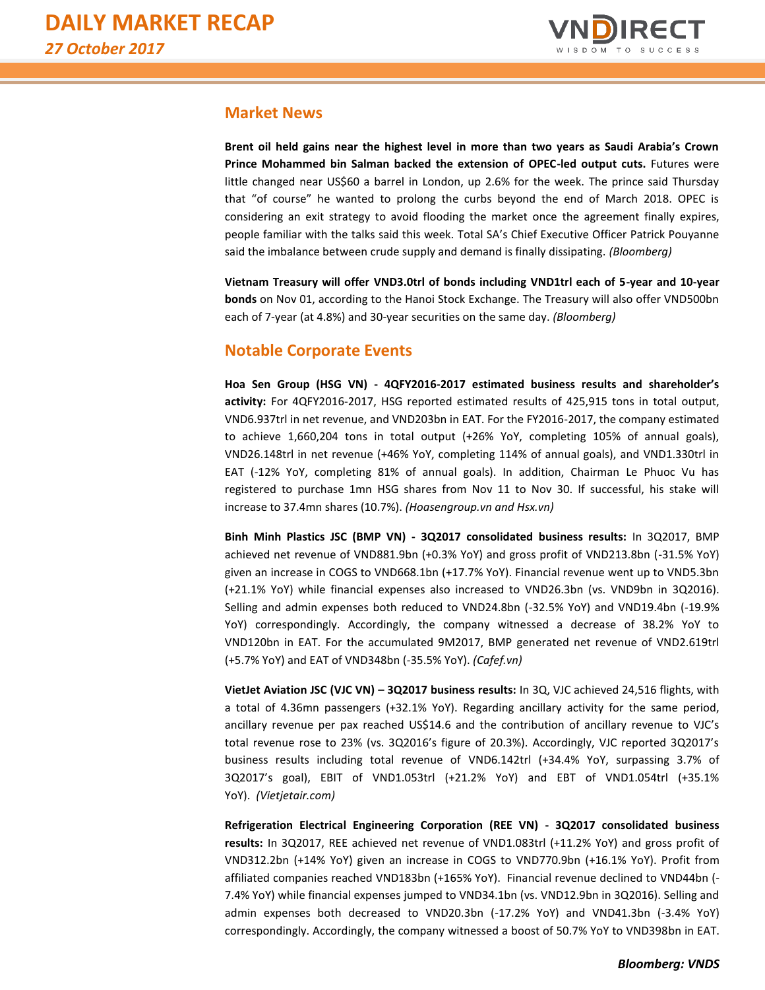

## **Market News**

**Brent oil held gains near the highest level in more than two years as Saudi Arabia's Crown Prince Mohammed bin Salman backed the extension of OPEC-led output cuts.** Futures were little changed near US\$60 a barrel in London, up 2.6% for the week. The prince said Thursday that "of course" he wanted to prolong the curbs beyond the end of March 2018. OPEC is considering an exit strategy to avoid flooding the market once the agreement finally expires, people familiar with the talks said this week. Total SA's Chief Executive Officer Patrick Pouyanne said the imbalance between crude supply and demand is finally dissipating. *(Bloomberg)*

**Vietnam Treasury will offer VND3.0trl of bonds including VND1trl each of 5-year and 10-year bonds** on Nov 01, according to the Hanoi Stock Exchange. The Treasury will also offer VND500bn each of 7-year (at 4.8%) and 30-year securities on the same day. *(Bloomberg)*

## **Notable Corporate Events**

**Hoa Sen Group (HSG VN) - 4QFY2016-2017 estimated business results and shareholder's activity:** For 4QFY2016-2017, HSG reported estimated results of 425,915 tons in total output, VND6.937trl in net revenue, and VND203bn in EAT. For the FY2016-2017, the company estimated to achieve 1,660,204 tons in total output (+26% YoY, completing 105% of annual goals), VND26.148trl in net revenue (+46% YoY, completing 114% of annual goals), and VND1.330trl in EAT (-12% YoY, completing 81% of annual goals). In addition, Chairman Le Phuoc Vu has registered to purchase 1mn HSG shares from Nov 11 to Nov 30. If successful, his stake will increase to 37.4mn shares (10.7%). *(Hoasengroup.vn and Hsx.vn)*

**Binh Minh Plastics JSC (BMP VN) - 3Q2017 consolidated business results:** In 3Q2017, BMP achieved net revenue of VND881.9bn (+0.3% YoY) and gross profit of VND213.8bn (-31.5% YoY) given an increase in COGS to VND668.1bn (+17.7% YoY). Financial revenue went up to VND5.3bn (+21.1% YoY) while financial expenses also increased to VND26.3bn (vs. VND9bn in 3Q2016). Selling and admin expenses both reduced to VND24.8bn (-32.5% YoY) and VND19.4bn (-19.9% YoY) correspondingly. Accordingly, the company witnessed a decrease of 38.2% YoY to VND120bn in EAT. For the accumulated 9M2017, BMP generated net revenue of VND2.619trl (+5.7% YoY) and EAT of VND348bn (-35.5% YoY). *(Cafef.vn)*

**VietJet Aviation JSC (VJC VN) – 3Q2017 business results:** In 3Q, VJC achieved 24,516 flights, with a total of 4.36mn passengers (+32.1% YoY). Regarding ancillary activity for the same period, ancillary revenue per pax reached US\$14.6 and the contribution of ancillary revenue to VJC's total revenue rose to 23% (vs. 3Q2016's figure of 20.3%). Accordingly, VJC reported 3Q2017's business results including total revenue of VND6.142trl (+34.4% YoY, surpassing 3.7% of 3Q2017's goal), EBIT of VND1.053trl (+21.2% YoY) and EBT of VND1.054trl (+35.1% YoY). *(Vietjetair.com)*

**Refrigeration Electrical Engineering Corporation (REE VN) - 3Q2017 consolidated business results:** In 3Q2017, REE achieved net revenue of VND1.083trl (+11.2% YoY) and gross profit of VND312.2bn (+14% YoY) given an increase in COGS to VND770.9bn (+16.1% YoY). Profit from affiliated companies reached VND183bn (+165% YoY). Financial revenue declined to VND44bn (- 7.4% YoY) while financial expenses jumped to VND34.1bn (vs. VND12.9bn in 3Q2016). Selling and admin expenses both decreased to VND20.3bn (-17.2% YoY) and VND41.3bn (-3.4% YoY) correspondingly. Accordingly, the company witnessed a boost of 50.7% YoY to VND398bn in EAT.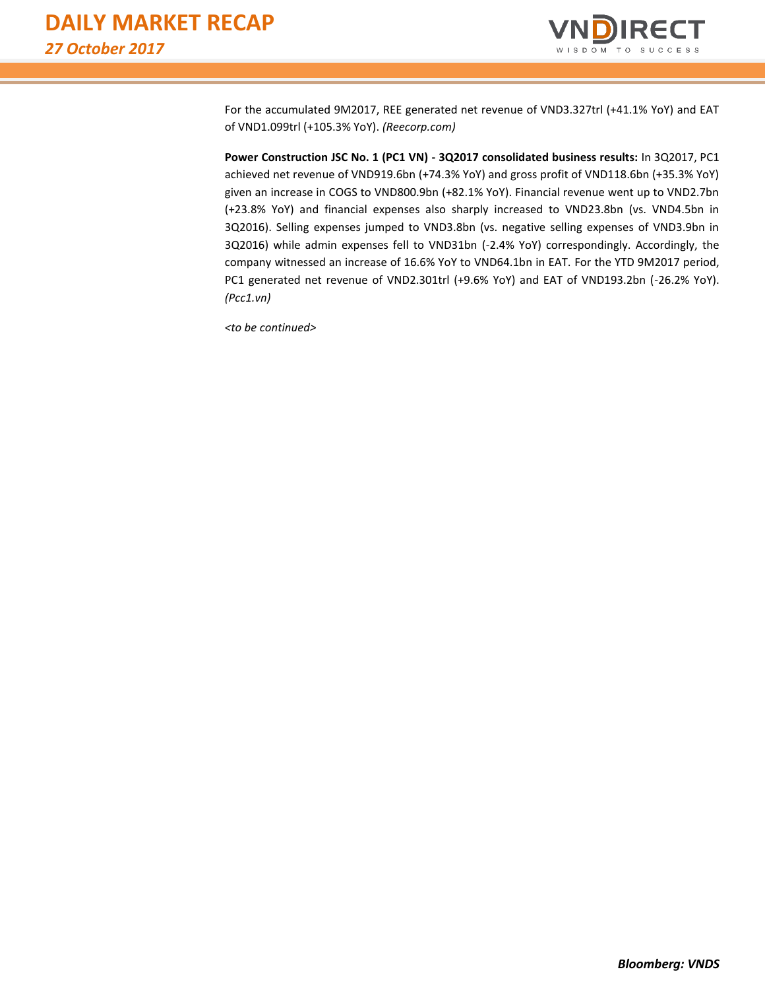

For the accumulated 9M2017, REE generated net revenue of VND3.327trl (+41.1% YoY) and EAT of VND1.099trl (+105.3% YoY). *(Reecorp.com)*

**Power Construction JSC No. 1 (PC1 VN) - 3Q2017 consolidated business results:** In 3Q2017, PC1 achieved net revenue of VND919.6bn (+74.3% YoY) and gross profit of VND118.6bn (+35.3% YoY) given an increase in COGS to VND800.9bn (+82.1% YoY). Financial revenue went up to VND2.7bn (+23.8% YoY) and financial expenses also sharply increased to VND23.8bn (vs. VND4.5bn in 3Q2016). Selling expenses jumped to VND3.8bn (vs. negative selling expenses of VND3.9bn in 3Q2016) while admin expenses fell to VND31bn (-2.4% YoY) correspondingly. Accordingly, the company witnessed an increase of 16.6% YoY to VND64.1bn in EAT. For the YTD 9M2017 period, PC1 generated net revenue of VND2.301trl (+9.6% YoY) and EAT of VND193.2bn (-26.2% YoY). *(Pcc1.vn)*

*<to be continued>*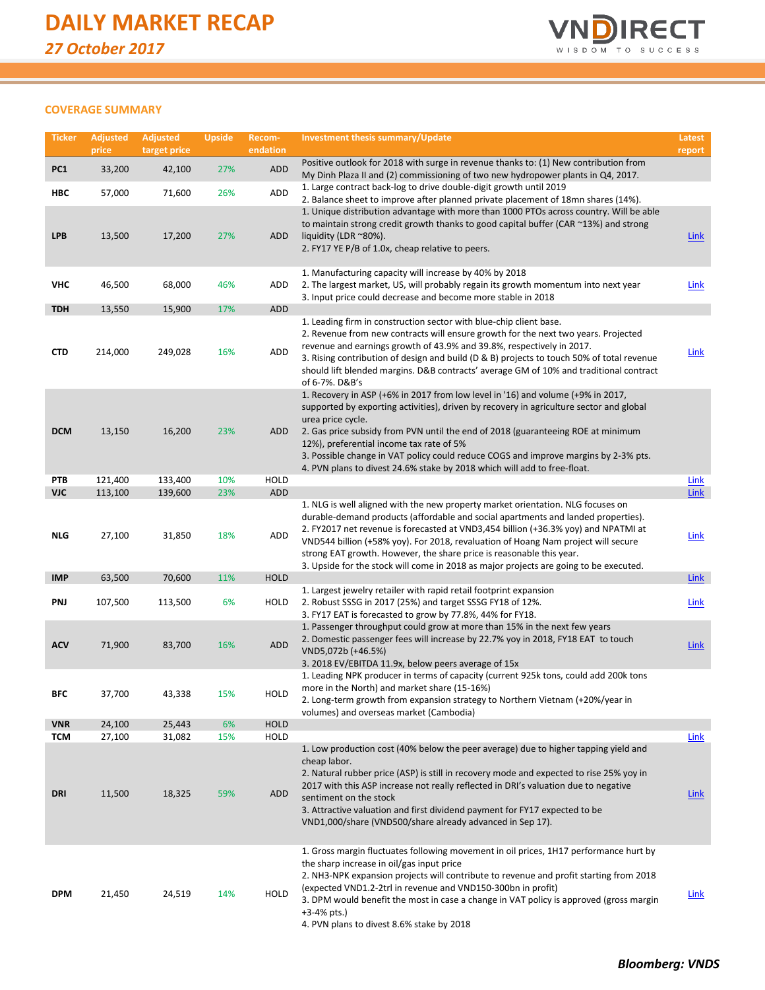

### **COVERAGE SUMMARY**

| <b>Ticker</b>            | <b>Adjusted</b><br>price | <b>Adjusted</b><br>target price | <b>Upside</b> | Recom-<br>endation | <b>Investment thesis summary/Update</b>                                                                                                                                                                                                                                                                                                                                                                                                                                                            | Latest<br>report           |
|--------------------------|--------------------------|---------------------------------|---------------|--------------------|----------------------------------------------------------------------------------------------------------------------------------------------------------------------------------------------------------------------------------------------------------------------------------------------------------------------------------------------------------------------------------------------------------------------------------------------------------------------------------------------------|----------------------------|
| PC1                      | 33,200                   | 42,100                          | 27%           | ADD                | Positive outlook for 2018 with surge in revenue thanks to: (1) New contribution from                                                                                                                                                                                                                                                                                                                                                                                                               |                            |
| HBC                      | 57,000                   | 71,600                          | 26%           | ADD                | My Dinh Plaza II and (2) commissioning of two new hydropower plants in Q4, 2017.<br>1. Large contract back-log to drive double-digit growth until 2019                                                                                                                                                                                                                                                                                                                                             |                            |
| <b>LPB</b>               | 13,500                   | 17,200                          | 27%           | ADD                | 2. Balance sheet to improve after planned private placement of 18mn shares (14%).<br>1. Unique distribution advantage with more than 1000 PTOs across country. Will be able<br>to maintain strong credit growth thanks to good capital buffer (CAR ~13%) and strong<br>liquidity (LDR $^{\sim}80\%$ ).<br>2. FY17 YE P/B of 1.0x, cheap relative to peers.                                                                                                                                         | <b>Link</b>                |
| <b>VHC</b>               | 46,500                   | 68,000                          | 46%           | ADD                | 1. Manufacturing capacity will increase by 40% by 2018<br>2. The largest market, US, will probably regain its growth momentum into next year<br>3. Input price could decrease and become more stable in 2018                                                                                                                                                                                                                                                                                       | <b>Link</b>                |
| <b>TDH</b>               | 13,550                   | 15,900                          | 17%           | ADD                |                                                                                                                                                                                                                                                                                                                                                                                                                                                                                                    |                            |
| <b>CTD</b>               | 214,000                  | 249,028                         | 16%           | <b>ADD</b>         | 1. Leading firm in construction sector with blue-chip client base.<br>2. Revenue from new contracts will ensure growth for the next two years. Projected<br>revenue and earnings growth of 43.9% and 39.8%, respectively in 2017.<br>3. Rising contribution of design and build (D & B) projects to touch 50% of total revenue<br>should lift blended margins. D&B contracts' average GM of 10% and traditional contract<br>of 6-7%. D&B's                                                         | <b>Link</b>                |
| <b>DCM</b>               | 13,150                   | 16,200                          | 23%           | ADD                | 1. Recovery in ASP (+6% in 2017 from low level in '16) and volume (+9% in 2017,<br>supported by exporting activities), driven by recovery in agriculture sector and global<br>urea price cycle.<br>2. Gas price subsidy from PVN until the end of 2018 (guaranteeing ROE at minimum<br>12%), preferential income tax rate of 5%<br>3. Possible change in VAT policy could reduce COGS and improve margins by 2-3% pts.<br>4. PVN plans to divest 24.6% stake by 2018 which will add to free-float. |                            |
| PTB                      | 121,400                  | 133,400                         | 10%           | <b>HOLD</b>        |                                                                                                                                                                                                                                                                                                                                                                                                                                                                                                    | <b>Link</b>                |
| <b>VJC</b><br><b>NLG</b> | 113,100<br>27,100        | 139,600<br>31,850               | 23%<br>18%    | ADD<br>ADD         | 1. NLG is well aligned with the new property market orientation. NLG focuses on<br>durable-demand products (affordable and social apartments and landed properties).<br>2. FY2017 net revenue is forecasted at VND3,454 billion (+36.3% yoy) and NPATMI at<br>VND544 billion (+58% yoy). For 2018, revaluation of Hoang Nam project will secure<br>strong EAT growth. However, the share price is reasonable this year.                                                                            | <b>Link</b><br><b>Link</b> |
| <b>IMP</b>               | 63,500                   | 70,600                          | 11%           | <b>HOLD</b>        | 3. Upside for the stock will come in 2018 as major projects are going to be executed.                                                                                                                                                                                                                                                                                                                                                                                                              | <b>Link</b>                |
| PNJ                      | 107,500                  | 113,500                         | 6%            | HOLD               | 1. Largest jewelry retailer with rapid retail footprint expansion<br>2. Robust SSSG in 2017 (25%) and target SSSG FY18 of 12%.<br>3. FY17 EAT is forecasted to grow by 77.8%, 44% for FY18.                                                                                                                                                                                                                                                                                                        | Link                       |
| <b>ACV</b>               | 71,900                   | 83,700                          | 16%           | <b>ADD</b>         | 1. Passenger throughput could grow at more than 15% in the next few years<br>2. Domestic passenger fees will increase by 22.7% yoy in 2018, FY18 EAT to touch<br>VND5,072b (+46.5%)<br>3. 2018 EV/EBITDA 11.9x, below peers average of 15x                                                                                                                                                                                                                                                         | <b>Link</b>                |
| BFC                      | 37,700                   | 43,338                          | 15%           | HOLD               | 1. Leading NPK producer in terms of capacity (current 925k tons, could add 200k tons<br>more in the North) and market share (15-16%)<br>2. Long-term growth from expansion strategy to Northern Vietnam (+20%/year in<br>volumes) and overseas market (Cambodia)                                                                                                                                                                                                                                   |                            |
| <b>VNR</b>               | 24,100                   | 25,443                          | 6%            | <b>HOLD</b>        |                                                                                                                                                                                                                                                                                                                                                                                                                                                                                                    |                            |
| <b>TCM</b><br>DRI        | 27,100<br>11,500         | 31,082<br>18,325                | 15%<br>59%    | HOLD<br>ADD        | 1. Low production cost (40% below the peer average) due to higher tapping yield and<br>cheap labor.<br>2. Natural rubber price (ASP) is still in recovery mode and expected to rise 25% yoy in<br>2017 with this ASP increase not really reflected in DRI's valuation due to negative<br>sentiment on the stock<br>3. Attractive valuation and first dividend payment for FY17 expected to be<br>VND1,000/share (VND500/share already advanced in Sep 17).                                         | Link<br><b>Link</b>        |
| <b>DPM</b>               | 21,450                   | 24,519                          | 14%           | HOLD               | 1. Gross margin fluctuates following movement in oil prices, 1H17 performance hurt by<br>the sharp increase in oil/gas input price<br>2. NH3-NPK expansion projects will contribute to revenue and profit starting from 2018<br>(expected VND1.2-2trl in revenue and VND150-300bn in profit)<br>3. DPM would benefit the most in case a change in VAT policy is approved (gross margin<br>$+3-4%$ pts.)<br>4. PVN plans to divest 8.6% stake by 2018                                               | Link                       |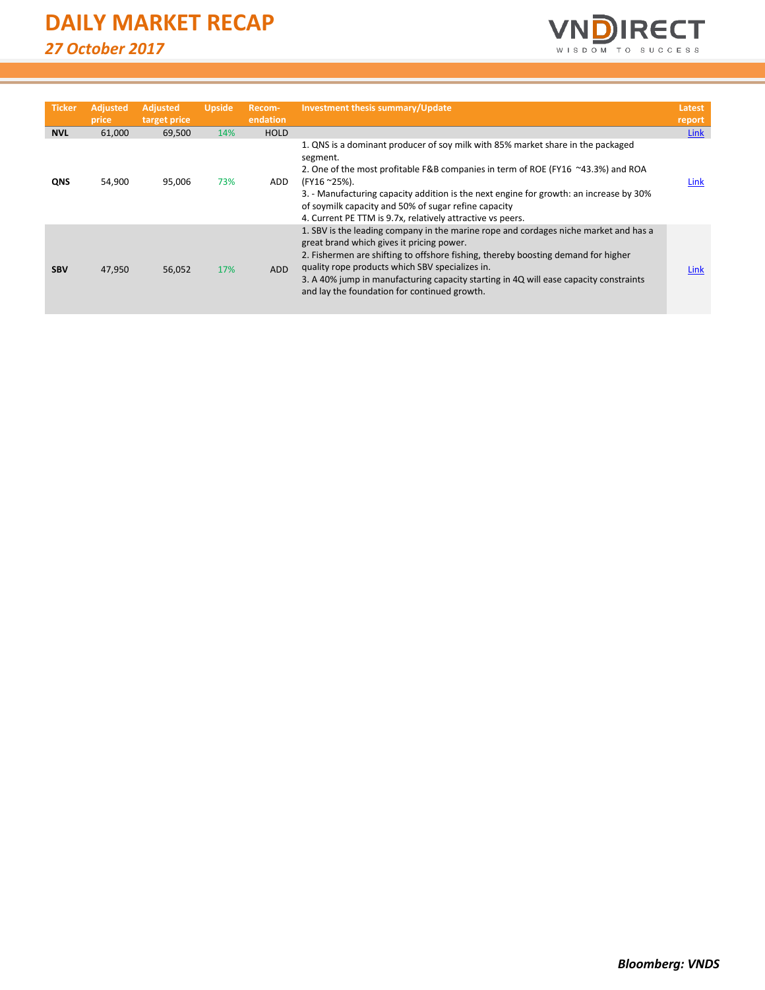| <b>Ticker</b> | <b>Adjusted</b><br>price | <b>Adjusted</b><br>target price | <b>Upside</b> | Recom-<br>endation | Investment thesis summary/Update                                                                                                                                                                                                                                                                                                                                                                                   | Latest<br>report |
|---------------|--------------------------|---------------------------------|---------------|--------------------|--------------------------------------------------------------------------------------------------------------------------------------------------------------------------------------------------------------------------------------------------------------------------------------------------------------------------------------------------------------------------------------------------------------------|------------------|
| <b>NVL</b>    | 61,000                   | 69,500                          | 14%           | <b>HOLD</b>        |                                                                                                                                                                                                                                                                                                                                                                                                                    | Link             |
| QNS           | 54,900                   | 95,006                          | 73%           | ADD.               | 1. QNS is a dominant producer of soy milk with 85% market share in the packaged<br>segment.<br>2. One of the most profitable F&B companies in term of ROE (FY16 ~43.3%) and ROA<br>(FY16~25%).<br>3. - Manufacturing capacity addition is the next engine for growth: an increase by 30%<br>of soymilk capacity and 50% of sugar refine capacity<br>4. Current PE TTM is 9.7x, relatively attractive vs peers.     | Link             |
| <b>SBV</b>    | 47,950                   | 56,052                          | 17%           | ADD                | 1. SBV is the leading company in the marine rope and cordages niche market and has a<br>great brand which gives it pricing power.<br>2. Fishermen are shifting to offshore fishing, thereby boosting demand for higher<br>quality rope products which SBV specializes in.<br>3. A 40% jump in manufacturing capacity starting in 4Q will ease capacity constraints<br>and lay the foundation for continued growth. | Link             |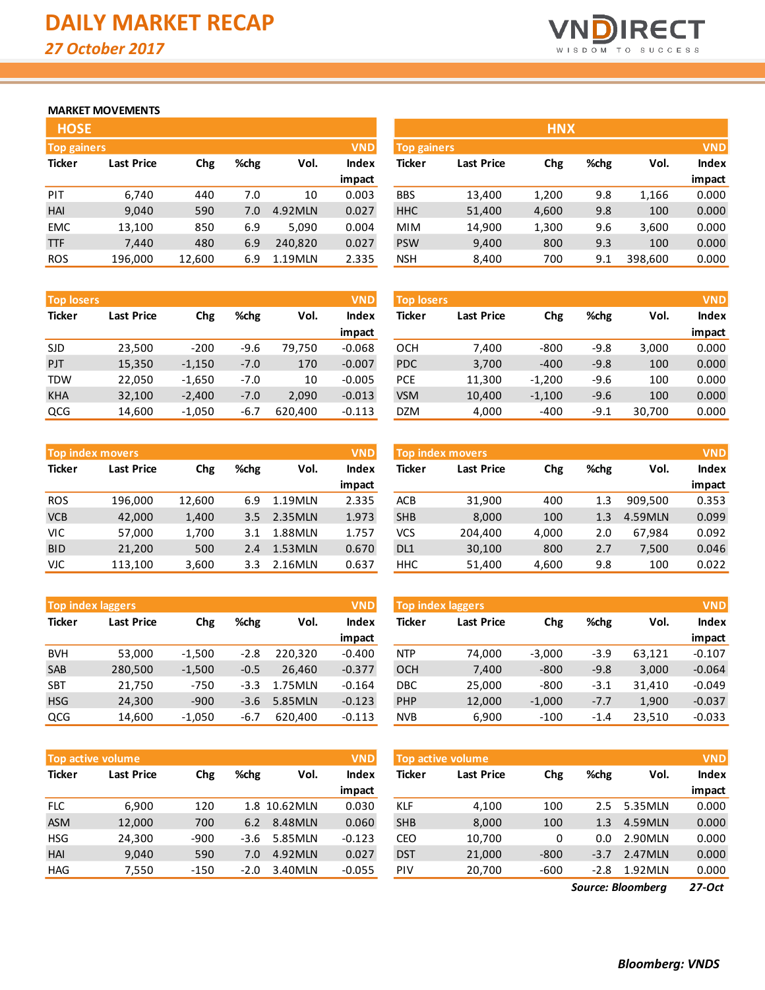

## **MARKET MOVEMENTS**

| <b>HOSE</b>                      |                   |        |      |         |              |  |  |  |  |
|----------------------------------|-------------------|--------|------|---------|--------------|--|--|--|--|
| <b>VND</b><br><b>Top gainers</b> |                   |        |      |         |              |  |  |  |  |
| <b>Ticker</b>                    | <b>Last Price</b> | Chg    | %chg | Vol.    | <b>Index</b> |  |  |  |  |
|                                  |                   |        |      |         | impact       |  |  |  |  |
| PIT                              | 6,740             | 440    | 7.0  | 10      | 0.003        |  |  |  |  |
| HAI                              | 9,040             | 590    | 7.0  | 4.92MLN | 0.027        |  |  |  |  |
| <b>EMC</b>                       | 13,100            | 850    | 6.9  | 5,090   | 0.004        |  |  |  |  |
| <b>TTF</b>                       | 7.440             | 480    | 6.9  | 240,820 | 0.027        |  |  |  |  |
| <b>ROS</b>                       | 196,000           | 12,600 | 6.9  | 1.19MLN | 2.335        |  |  |  |  |

| <b>Top losers</b> |                   |          |        |         | <b>VND</b> | <b>Top losers</b> |                   |          |        |        | <b>VND</b> |
|-------------------|-------------------|----------|--------|---------|------------|-------------------|-------------------|----------|--------|--------|------------|
| <b>Ticker</b>     | <b>Last Price</b> | Chg      | %chg   | Vol.    | Index      | Ticker            | <b>Last Price</b> | Chg      | %chg   | Vol.   | Index      |
|                   |                   |          |        |         | impact     |                   |                   |          |        |        | impact     |
| <b>SJD</b>        | 23,500            | $-200$   | $-9.6$ | 79.750  | $-0.068$   | OCH               | 7.400             | $-800$   | $-9.8$ | 3,000  | 0.000      |
| PJT               | 15,350            | $-1,150$ | $-7.0$ | 170     | $-0.007$   | <b>PDC</b>        | 3,700             | $-400$   | $-9.8$ | 100    | 0.000      |
| <b>TDW</b>        | 22,050            | $-1,650$ | $-7.0$ | 10      | $-0.005$   | <b>PCE</b>        | 11,300            | $-1,200$ | $-9.6$ | 100    | 0.000      |
| <b>KHA</b>        | 32,100            | $-2,400$ | $-7.0$ | 2,090   | $-0.013$   | <b>VSM</b>        | 10,400            | $-1,100$ | $-9.6$ | 100    | 0.000      |
| QCG               | 14,600            | $-1,050$ | $-6.7$ | 620,400 | $-0.113$   | <b>DZM</b>        | 4,000             | $-400$   | $-9.1$ | 30,700 | 0.000      |

| <b>Top index movers</b> |                   |        |      |         |              |  |  |  |  |
|-------------------------|-------------------|--------|------|---------|--------------|--|--|--|--|
| <b>Ticker</b>           | <b>Last Price</b> | Chg    | %chg | Vol.    | <b>Index</b> |  |  |  |  |
|                         |                   |        |      |         | impact       |  |  |  |  |
| <b>ROS</b>              | 196,000           | 12,600 | 6.9  | 1.19MLN | 2.335        |  |  |  |  |
| <b>VCB</b>              | 42,000            | 1,400  | 3.5  | 2.35MLN | 1.973        |  |  |  |  |
| VIC                     | 57,000            | 1,700  | 3.1  | 1.88MLN | 1.757        |  |  |  |  |
| <b>BID</b>              | 21,200            | 500    | 2.4  | 1.53MLN | 0.670        |  |  |  |  |
| VJC                     | 113,100           | 3,600  | 3.3  | 2.16MLN | 0.637        |  |  |  |  |

| <b>Top index laggers</b> |                   |          |        |         | <b>VND</b>   |
|--------------------------|-------------------|----------|--------|---------|--------------|
| <b>Ticker</b>            | <b>Last Price</b> | Chg      | %chg   | Vol.    | <b>Index</b> |
|                          |                   |          |        |         | impact       |
| <b>BVH</b>               | 53,000            | $-1,500$ | $-2.8$ | 220,320 | $-0.400$     |
| <b>SAB</b>               | 280,500           | $-1,500$ | $-0.5$ | 26,460  | $-0.377$     |
| <b>SBT</b>               | 21,750            | $-750$   | $-3.3$ | 1.75MLN | $-0.164$     |
| <b>HSG</b>               | 24,300            | $-900$   | $-3.6$ | 5.85MLN | $-0.123$     |
| QCG                      | 14,600            | $-1,050$ | $-6.7$ | 620.400 | $-0.113$     |

|               | <b>Top active volume</b> |                     |        |              | <b>VND</b> |
|---------------|--------------------------|---------------------|--------|--------------|------------|
| <b>Ticker</b> | <b>Last Price</b>        | %chg<br>Vol.<br>Chg |        | <b>Index</b> |            |
|               |                          |                     |        |              | impact     |
| FLC           | 6,900                    | 120                 |        | 1.8 10.62MLN | 0.030      |
| <b>ASM</b>    | 12,000                   | 700                 | 6.2    | 8.48MLN      | 0.060      |
| <b>HSG</b>    | 24.300                   | $-900$              | $-3.6$ | 5.85MLN      | $-0.123$   |
| HAI           | 9.040                    | 590                 | 7.0    | 4.92MLN      | 0.027      |
| <b>HAG</b>    | 7,550                    | $-150$              | $-2.0$ | 3.40MLN      | $-0.055$   |

| <b>HOSE</b>        |                   |        |      |         |              |                    |                   | <b>HNX</b> |      |         |              |
|--------------------|-------------------|--------|------|---------|--------------|--------------------|-------------------|------------|------|---------|--------------|
| <b>Top gainers</b> |                   |        |      |         | <b>VND</b>   | <b>Top gainers</b> |                   |            |      |         | <b>VND</b>   |
| Ticker             | <b>Last Price</b> | Chg    | %chg | Vol.    | <b>Index</b> | Ticker             | <b>Last Price</b> | Chg        | %chg | Vol.    | <b>Index</b> |
|                    |                   |        |      |         | impact       |                    |                   |            |      |         | impact       |
| PIT                | 6,740             | 440    | 7.0  | 10      | 0.003        | <b>BBS</b>         | 13,400            | 1,200      | 9.8  | 1,166   | 0.000        |
| <b>HAI</b>         | 9,040             | 590    | 7.0  | 4.92MLN | 0.027        | <b>HHC</b>         | 51,400            | 4,600      | 9.8  | 100     | 0.000        |
| <b>EMC</b>         | 13,100            | 850    | 6.9  | 5,090   | 0.004        | <b>MIM</b>         | 14,900            | 1,300      | 9.6  | 3,600   | 0.000        |
| TTF                | 7,440             | 480    | 6.9  | 240.820 | 0.027        | <b>PSW</b>         | 9,400             | 800        | 9.3  | 100     | 0.000        |
| <b>ROS</b>         | 196,000           | 12,600 | 6.9  | 1.19MLN | 2.335        | <b>NSH</b>         | 8,400             | 700        | 9.1  | 398,600 | 0.000        |

| <b>Top losers</b> |                   |          |        |        | <b>VND</b>   |
|-------------------|-------------------|----------|--------|--------|--------------|
| <b>Ticker</b>     | <b>Last Price</b> | Chg      | %chg   | Vol.   | <b>Index</b> |
|                   |                   |          |        |        | impact       |
| OCH               | 7,400             | $-800$   | $-9.8$ | 3,000  | 0.000        |
| <b>PDC</b>        | 3,700             | $-400$   | $-9.8$ | 100    | 0.000        |
| <b>PCE</b>        | 11,300            | $-1,200$ | $-9.6$ | 100    | 0.000        |
| <b>VSM</b>        | 10,400            | $-1,100$ | $-9.6$ | 100    | 0.000        |
| <b>DZM</b>        | 4,000             | $-400$   | $-9.1$ | 30,700 | 0.000        |

|            | <b>Top index movers</b> |                     |     |              | <b>VND</b> | <b>Top index movers</b> |         |       |      |              |        |  |
|------------|-------------------------|---------------------|-----|--------------|------------|-------------------------|---------|-------|------|--------------|--------|--|
| Ticker     | <b>Last Price</b>       | %chg<br>Vol.<br>Chg |     | <b>Index</b> | Ticker     | <b>Last Price</b>       | Chg     | %chg  | Vol. | <b>Index</b> |        |  |
|            |                         |                     |     |              | impact     |                         |         |       |      |              | impact |  |
| <b>ROS</b> | 196.000                 | 12,600              | 6.9 | 1.19MLN      | 2.335      | ACB                     | 31,900  | 400   | 1.3  | 909.500      | 0.353  |  |
| <b>VCB</b> | 42,000                  | 1,400               | 3.5 | 2.35MLN      | 1.973      | <b>SHB</b>              | 8,000   | 100   | 1.3  | 4.59MLN      | 0.099  |  |
| VIC        | 57,000                  | 1,700               | 3.1 | 1.88MLN      | 1.757      | vcs                     | 204.400 | 4,000 | 2.0  | 67.984       | 0.092  |  |
| <b>BID</b> | 21,200                  | 500                 | 2.4 | 1.53MLN      | 0.670      | DL <sub>1</sub>         | 30,100  | 800   | 2.7  | 7,500        | 0.046  |  |
| VJC        | 113,100                 | 3,600               | 3.3 | 2.16MLN      | 0.637      | <b>HHC</b>              | 51,400  | 4,600 | 9.8  | 100          | 0.022  |  |

| <b>Top index laggers</b> |                   |             |        |         | <b>VND</b> | <b>VND</b><br>Top index laggers |                   |          |        |        |          |
|--------------------------|-------------------|-------------|--------|---------|------------|---------------------------------|-------------------|----------|--------|--------|----------|
| Ticker                   | <b>Last Price</b> | %chg<br>Chg |        | Vol.    | Index      | Ticker                          | <b>Last Price</b> | Chg      | %chg   | Vol.   | Index    |
|                          |                   |             |        |         | impact     |                                 |                   |          |        |        | impact   |
| <b>BVH</b>               | 53,000            | $-1,500$    | $-2.8$ | 220.320 | $-0.400$   | <b>NTP</b>                      | 74,000            | $-3,000$ | $-3.9$ | 63.121 | $-0.107$ |
| SAB                      | 280,500           | $-1,500$    | $-0.5$ | 26.460  | $-0.377$   | <b>OCH</b>                      | 7,400             | $-800$   | $-9.8$ | 3,000  | $-0.064$ |
| SBT                      | 21,750            | $-750$      | $-3.3$ | 1.75MLN | $-0.164$   | <b>DBC</b>                      | 25,000            | $-800$   | $-3.1$ | 31.410 | $-0.049$ |
| <b>HSG</b>               | 24,300            | $-900$      | $-3.6$ | 5.85MLN | $-0.123$   | <b>PHP</b>                      | 12,000            | $-1,000$ | $-7.7$ | 1.900  | $-0.037$ |
| QCG                      | 14,600            | $-1,050$    | $-6.7$ | 620.400 | $-0.113$   | <b>NVB</b>                      | 6,900             | $-100$   | $-1.4$ | 23.510 | $-0.033$ |

|            | <b>Top active volume</b> |                     |        |              | <b>VND</b> | Top active volume |        |        |               |              | <b>VND</b> |
|------------|--------------------------|---------------------|--------|--------------|------------|-------------------|--------|--------|---------------|--------------|------------|
| Ticker     | <b>Last Price</b>        | %chg<br>Vol.<br>Chg |        | Index        | Ticker     | <b>Last Price</b> | Chg    | %chg   | Vol.          | <b>Index</b> |            |
|            |                          |                     |        |              | impact     |                   |        |        |               |              | impact     |
| <b>FLC</b> | 6.900                    | 120                 |        | 1.8 10.62MLN | 0.030      | <b>KLF</b>        | 4,100  | 100    | $2.5^{\circ}$ | 5.35MLN      | 0.000      |
| <b>ASM</b> | 12,000                   | 700                 | 6.2    | 8.48MLN      | 0.060      | <b>SHB</b>        | 8,000  | 100    | 1.3           | 4.59MLN      | 0.000      |
| <b>HSG</b> | 24,300                   | $-900$              | -3.6   | 5.85MLN      | $-0.123$   | CEO               | 10,700 | 0      | 0.0           | 2.90MLN      | 0.000      |
| <b>HAI</b> | 9,040                    | 590                 | 7.0    | 4.92MLN      | 0.027      | <b>DST</b>        | 21,000 | $-800$ | $-3.7$        | 2.47MLN      | 0.000      |
| <b>HAG</b> | 7,550                    | $-150$              | $-2.0$ | 3.40MLN      | $-0.055$   | <b>PIV</b>        | 20,700 | $-600$ | -2.8          | 1.92MLN      | 0.000      |
|            |                          |                     |        |              |            |                   |        |        |               |              |            |

*27-Oct Source: Bloomberg*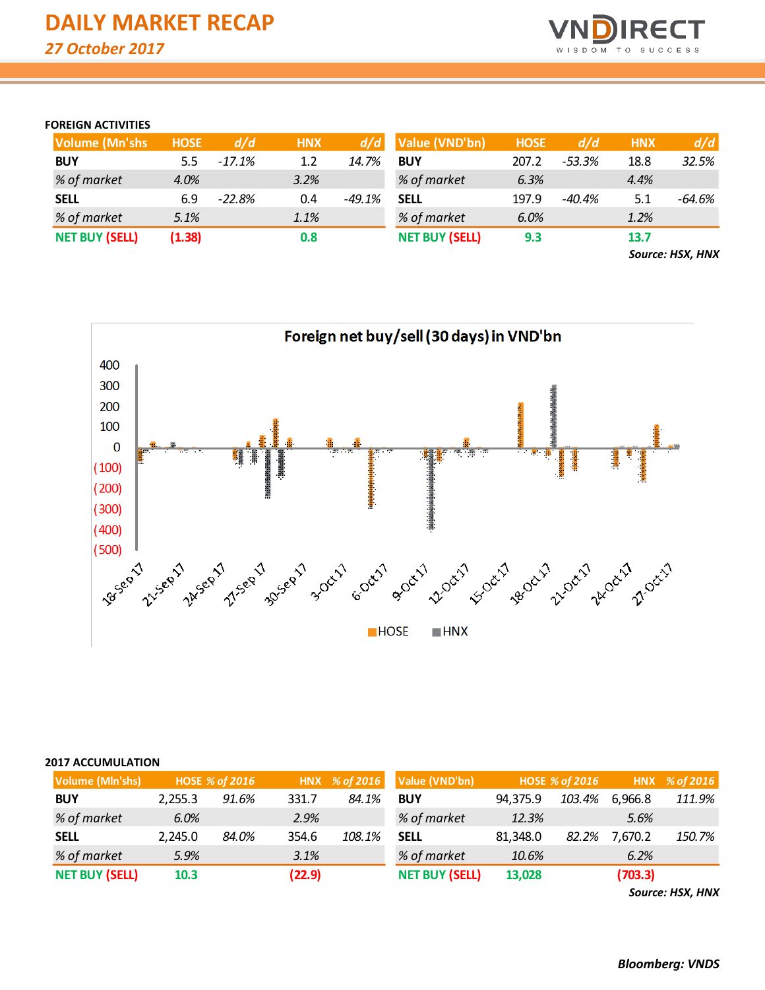

## **FOREIGN ACTIVITIES**

| <b>Volume (Mn'shs)</b> | <b>HOSE</b> | d/d      | <b>HNX</b> | d/d      | Value (VND'bn)        | <b>HOSE</b> | d/d      | <b>HNX</b> | d/d      |
|------------------------|-------------|----------|------------|----------|-----------------------|-------------|----------|------------|----------|
| <b>BUY</b>             | 5.5         | $-17.1%$ | 1.2        | 14.7%    | <b>BUY</b>            | 207.2       | $-53.3%$ | 18.8       | 32.5%    |
| % of market            | 4.0%        |          | 3.2%       |          | % of market           | 6.3%        |          | 4.4%       |          |
| <b>SELL</b>            | 6.9         | $-22.8%$ | 0.4        | $-49.1%$ | <b>SELL</b>           | 197.9       | -40.4%   | 5.1        | $-64.6%$ |
| % of market            | 5.1%        |          | 1.1%       |          | % of market           | 6.0%        |          | 1.2%       |          |
| <b>NET BUY (SELL)</b>  | (1.38)      |          | 0.8        |          | <b>NET BUY (SELL)</b> | 9.3         |          | 13.7       |          |

*Source: HSX, HNX*



### **2017 ACCUMULATION**

| <b>Volume (MIn'shs)</b> |         | <b>HOSE % of 2016</b> |        |        | HNX % of 2016 Value (VND'bn) |          | <b>HOSE % of 2016</b> |         | HNX % of 2016 |
|-------------------------|---------|-----------------------|--------|--------|------------------------------|----------|-----------------------|---------|---------------|
| <b>BUY</b>              | 2,255.3 | 91.6%                 | 331.7  | 84.1%  | <b>BUY</b>                   | 94,375.9 | 103.4%                | 6,966.8 | 111.9%        |
| % of market             | 6.0%    |                       | 2.9%   |        | % of market                  | 12.3%    |                       | 5.6%    |               |
| <b>SELL</b>             | 2,245.0 | 84.0%                 | 354.6  | 108.1% | <b>SELL</b>                  | 81,348.0 | 82.2%                 | 7,670.2 | 150.7%        |
| % of market             | 5.9%    |                       | 3.1%   |        | % of market                  | 10.6%    |                       | 6.2%    |               |
| <b>NET BUY (SELL)</b>   | 10.3    |                       | (22.9) |        | <b>NET BUY (SELL)</b>        | 13,028   |                       | (703.3) |               |

*Source: HSX, HNX*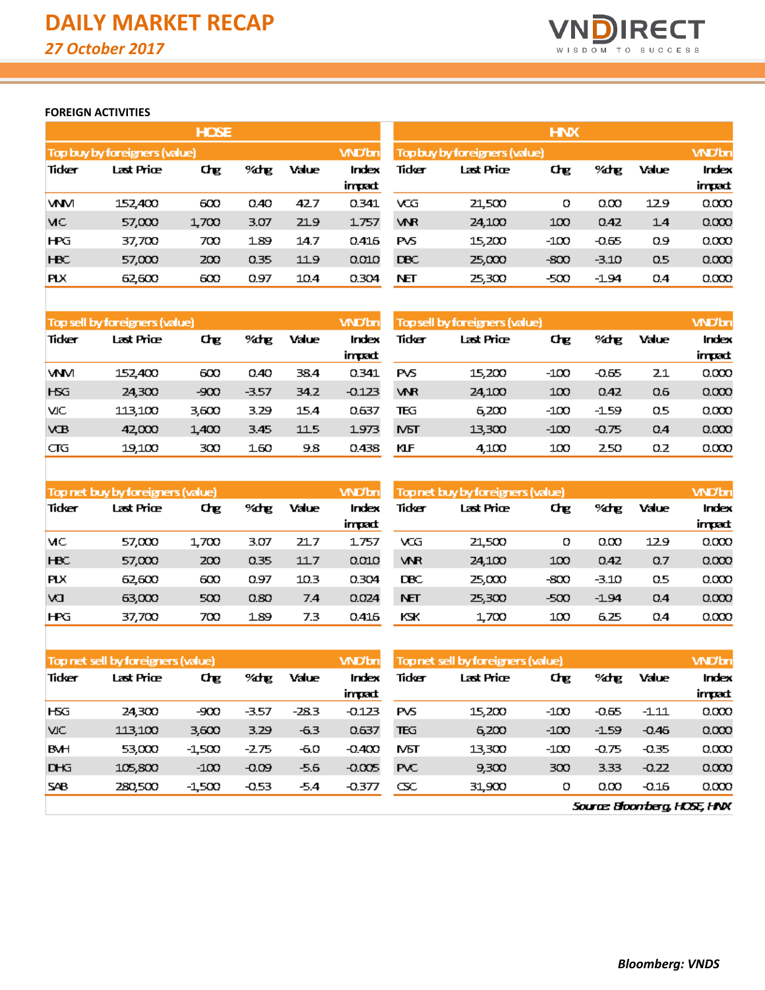

## **FOREIGN ACTIVITIES**

|            |                                                                                                                                                                                                                                                                                                                                     | <b>HOSE</b> |      |      |              | <b>HNX</b> |                                                                                                                                                                                                                                                                                                                                     |        |         |     |       |  |
|------------|-------------------------------------------------------------------------------------------------------------------------------------------------------------------------------------------------------------------------------------------------------------------------------------------------------------------------------------|-------------|------|------|--------------|------------|-------------------------------------------------------------------------------------------------------------------------------------------------------------------------------------------------------------------------------------------------------------------------------------------------------------------------------------|--------|---------|-----|-------|--|
|            | Top buy by foreigners (value)                                                                                                                                                                                                                                                                                                       |             |      |      | <b>WD'bn</b> |            | <b>WDbn</b><br><b>Top buy by foreigners (value)</b>                                                                                                                                                                                                                                                                                 |        |         |     |       |  |
| Tidker     | Last Price<br>Value<br>$%$ % $\frac{1}{2}$ % $\frac{1}{2}$ % $\frac{1}{2}$ % $\frac{1}{2}$ % $\frac{1}{2}$ % $\frac{1}{2}$ % $\frac{1}{2}$ % $\frac{1}{2}$ % $\frac{1}{2}$ % $\frac{1}{2}$ % $\frac{1}{2}$ % $\frac{1}{2}$ % $\frac{1}{2}$ % $\frac{1}{2}$ % $\frac{1}{2}$ % $\frac{1}{2}$ % $\frac{1}{2}$ % $\frac{1}{2}$ %<br>Chе |             |      |      | Index        | Tidker     | Last Price<br>Chе<br>$%$ % $\frac{1}{2}$ % $\frac{1}{2}$ % $\frac{1}{2}$ % $\frac{1}{2}$ % $\frac{1}{2}$ % $\frac{1}{2}$ % $\frac{1}{2}$ % $\frac{1}{2}$ % $\frac{1}{2}$ % $\frac{1}{2}$ % $\frac{1}{2}$ % $\frac{1}{2}$ % $\frac{1}{2}$ % $\frac{1}{2}$ % $\frac{1}{2}$ % $\frac{1}{2}$ % $\frac{1}{2}$ % $\frac{1}{2}$ %<br>Value |        |         |     |       |  |
|            |                                                                                                                                                                                                                                                                                                                                     |             |      |      | impad:       |            |                                                                                                                                                                                                                                                                                                                                     |        |         |     | impad |  |
| WM         | 152.400                                                                                                                                                                                                                                                                                                                             | 600         | 0.40 | 42.7 | 0.341        | VCG        | 21,500                                                                                                                                                                                                                                                                                                                              | о      | 0.00    | 129 | 0.000 |  |
| MC         | 57,000                                                                                                                                                                                                                                                                                                                              | 1,700       | 3.07 | 219  | 1757         | <b>VAR</b> | 24,100                                                                                                                                                                                                                                                                                                                              | 100    | 0.42    | 14  | 0.000 |  |
| НRЭ        | 37,700                                                                                                                                                                                                                                                                                                                              | 700         | 189  | 14.7 | 0.416        | <b>PVS</b> | 15,200                                                                                                                                                                                                                                                                                                                              | $-100$ | $-0.65$ | 0.9 | 0.000 |  |
| <b>HBC</b> | 57,000                                                                                                                                                                                                                                                                                                                              | 200         | 0.35 | 119  | 0.010        | <b>DBC</b> | 25,000                                                                                                                                                                                                                                                                                                                              | $-800$ | $-3.10$ | 0.5 | 0.000 |  |
| <b>PLX</b> | 62.600                                                                                                                                                                                                                                                                                                                              | 600         | 0.97 | 10.4 | 0.304        | NЕТ        | 25,300                                                                                                                                                                                                                                                                                                                              | -500   | $-1.94$ | 0.4 | 0.000 |  |

|            | Top sell by foreigners (value) |       |         |       | <b>WDbn</b>     | <b>Topsell by foreigners (value)</b> | <b>WD</b> bn |        |         |       |                 |
|------------|--------------------------------|-------|---------|-------|-----------------|--------------------------------------|--------------|--------|---------|-------|-----------------|
| Tidker     | Last Price                     | Chg   | %dhe    | Value | Index<br>impad: | Tidker                               | Last Price   | Chе    | %dhe    | Value | Index<br>impact |
| <b>VAM</b> | 152.400                        | 600   | 0.40    | 38.4  | 0.341           | <b>PVS</b>                           | 15,200       | $-100$ | $-0.65$ | 21    | 0.000           |
| <b>H5G</b> | 24,300                         | -900  | $-3.57$ | 34.2  | $-0.123$        | <b>VNR</b>                           | 24,100       | 100    | 0.42    | 0.6   | 0.000           |
| МC         | 113.100                        | 3,600 | 3.29    | 15.4  | 0.637           | ΤEG                                  | 6,200        | -100   | $-1.59$ | 0.5   | 0.000           |
| <b>VB</b>  | 42000                          | 1.400 | 3.45    | 115   | 1973            | <b>N<sub>D</sub></b>                 | 13,300       | $-100$ | $-0.75$ | 0.4   | 0.000           |
| াত         | 19,100                         | 300   | 160     | 9.8   | 0.438           | ЮÆ                                   | 4.100        | 100    | 250     | Q.Z   | 0.000           |

|            | Top net buy by foreigners (value) |             |      |       | <b>WD</b> bn    | <b>Topnet buy by foreigners (value)</b> | <b>WD</b> bn |      |         |       |                 |
|------------|-----------------------------------|-------------|------|-------|-----------------|-----------------------------------------|--------------|------|---------|-------|-----------------|
| Tidker     | Last Price                        | Chg<br>%dhg |      | Value | Index<br>impact | Tidker                                  | Last Price   | Chg  | %drg    | Value | Index<br>impact |
| MC         | 57.000                            | 1700        | 3.07 | 21.7  | 1757            | VCG                                     | 21.500       | о    | 0.OO    | 129   | 0.000           |
| <b>HBC</b> | 57,000                            | 200         | 0.35 | 117   | 0.010           | <b>VNR</b>                              | 24,100       | 100  | 0.42    | 0.7   | 0.000           |
| <b>PLX</b> | 62.600                            | 600         | 0.97 | 10.3  | 0.304           | DBC                                     | 25,000       | -800 | $-3.10$ | 0.5   | 0.000           |
| W          | 63,000                            | 500         | 0.80 | 7.4   | 0.024           | <b>NET</b>                              | 25,300       | -500 | $-1.94$ | 0.4   | 0.000           |
| <b>HPG</b> | 37,700                            | 700         | 189  | 7.3   | 0.416           | KЭК                                     | 1.700        | 100  | 6.25    | 0.4   | 0.000           |

|            | Top net sell by foreigners (value) |          |         |        | <b>WD</b> bn | <b>Topnet sell by foreigners (value)</b> |                   |        |         |         | <b>WD'bn</b> |
|------------|------------------------------------|----------|---------|--------|--------------|------------------------------------------|-------------------|--------|---------|---------|--------------|
| Tidker     | Last Price                         | Chе      | %drg    | Value  | Index        | Tidker                                   | Last Price<br>Chе |        | %dhe    | Value   | Index        |
|            |                                    |          |         |        | impact       |                                          |                   |        |         |         | impact       |
| <b>H5G</b> | 24,300                             | -900     | -3.57   | -28.3  | $-0.123$     | PVS                                      | 15,200            | $-100$ | $-0.65$ | -1.11   | 0.000        |
| VIC.       | 113,100                            | 3,600    | 3.29    | $-6.3$ | 0.637        | ΤEG                                      | 6,200             | $-100$ | $-1.59$ | $-0.46$ | 0.000        |
| <b>BMH</b> | 53,000                             | $-1.500$ | -275    | -6.0   | $-0.400$     | MЫ                                       | 13,300            | $-100$ | $-0.75$ | $-0.35$ | 0.000        |
| <b>DHG</b> | 105,800                            | $-100$   | $-0.09$ | -5.6   | $-0.005$     | <b>PVC</b>                               | 9,300             | 300    | 3.33    | $-0.22$ | 0.000        |
| <b>SAB</b> | 280,500                            | $-1.500$ | $-0.53$ | -5.4   | -0.377       | Œ                                        | 31,900            | о      | 0.OO    | $-0.16$ | 0.000        |

Source Bloomberg, HOSE, HNX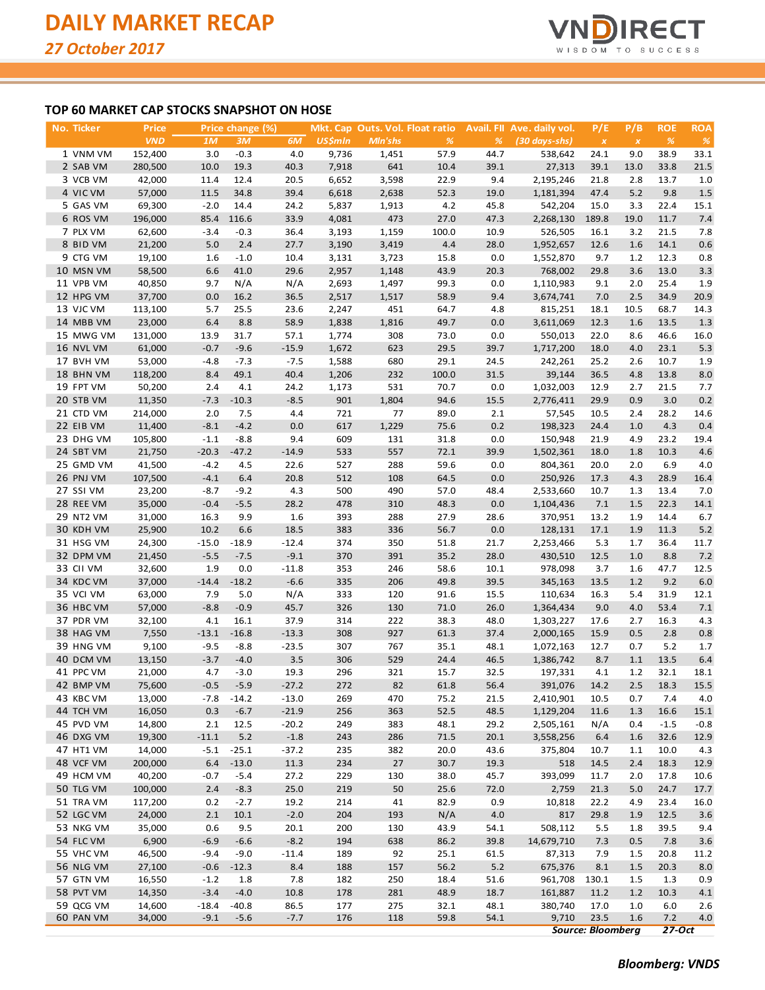

## **TOP 60 MARKET CAP STOCKS SNAPSHOT ON HOSE**

| No. Ticker | Price      |         | Price change (%)  |                   |                |         | Mkt. Cap Outs. Vol. Float ratio |              | Avail. FII Ave. daily vol. | P/E                      | P/B                | <b>ROE</b>    | <b>ROA</b>    |
|------------|------------|---------|-------------------|-------------------|----------------|---------|---------------------------------|--------------|----------------------------|--------------------------|--------------------|---------------|---------------|
|            | <b>VND</b> | 1M      | 3M                | 6M                | <b>US\$mln</b> | Mln'shs | %                               | %            | $(30 \, days\text{-}shs)$  | $\boldsymbol{X}$         | $\pmb{\mathsf{x}}$ | $\frac{9}{6}$ | $\frac{9}{6}$ |
| 1 VNM VM   | 152,400    | 3.0     | $-0.3$            | 4.0               | 9,736          | 1,451   | 57.9                            | 44.7         | 538,642                    | 24.1                     | 9.0                | 38.9          | 33.1          |
| 2 SAB VM   | 280,500    | 10.0    | 19.3              | 40.3              | 7,918          | 641     | 10.4                            | 39.1         | 27,313                     | 39.1                     | 13.0               | 33.8          | 21.5          |
| 3 VCB VM   | 42,000     | 11.4    | 12.4              | 20.5              | 6,652          | 3,598   | 22.9                            | 9.4          | 2,195,246                  | 21.8                     | 2.8                | 13.7          | 1.0           |
| 4 VIC VM   | 57,000     | 11.5    | 34.8              | 39.4              | 6,618          | 2,638   | 52.3                            | 19.0         | 1,181,394                  | 47.4                     | $5.2$              | 9.8           | 1.5           |
| 5 GAS VM   | 69,300     | $-2.0$  | 14.4              | 24.2              | 5,837          | 1,913   | 4.2                             | 45.8         | 542,204                    | 15.0                     | 3.3                | 22.4          | 15.1          |
| 6 ROS VM   | 196,000    | 85.4    | 116.6             | 33.9              | 4,081          | 473     | 27.0                            | 47.3         | 2,268,130                  | 189.8                    | 19.0               | 11.7          | 7.4           |
| 7 PLX VM   | 62,600     | $-3.4$  | $-0.3$            | 36.4              | 3,193          | 1,159   | 100.0                           | 10.9         | 526,505                    | 16.1                     | 3.2                | 21.5          | 7.8           |
| 8 BID VM   | 21,200     | 5.0     | 2.4               | 27.7              | 3,190          | 3,419   | 4.4                             | 28.0         | 1,952,657                  | 12.6                     | 1.6                | 14.1          | 0.6           |
| 9 CTG VM   | 19,100     | 1.6     | $-1.0$            | 10.4              | 3,131          | 3,723   | 15.8                            | 0.0          | 1,552,870                  | 9.7                      | 1.2                | 12.3          | 0.8           |
| 10 MSN VM  | 58,500     | 6.6     | 41.0              | 29.6              | 2,957          | 1,148   | 43.9                            | 20.3         | 768,002                    | 29.8                     | 3.6                | 13.0          | 3.3           |
| 11 VPB VM  | 40,850     | 9.7     | N/A               | N/A               | 2,693          | 1,497   | 99.3                            | 0.0          | 1,110,983                  | 9.1                      | 2.0                | 25.4          | 1.9           |
| 12 HPG VM  | 37,700     | 0.0     | 16.2              | 36.5              | 2,517          | 1,517   | 58.9                            | 9.4          | 3,674,741                  | 7.0                      | 2.5                | 34.9          | 20.9          |
| 13 VJC VM  | 113,100    | 5.7     | 25.5              | 23.6              | 2,247          | 451     | 64.7                            | 4.8          | 815,251                    | 18.1                     | 10.5               | 68.7          | 14.3          |
| 14 MBB VM  | 23,000     | 6.4     | 8.8               | 58.9              | 1,838          | 1,816   | 49.7                            | 0.0          | 3,611,069                  | 12.3                     | 1.6                | 13.5          | 1.3           |
| 15 MWG VM  | 131,000    | 13.9    | 31.7              | 57.1              | 1,774          | 308     | 73.0                            | 0.0          | 550,013                    | 22.0                     | 8.6                | 46.6          | 16.0          |
| 16 NVL VM  | 61,000     | $-0.7$  | $-9.6$            | $-15.9$           | 1,672          | 623     | 29.5                            | 39.7         | 1,717,200                  | 18.0                     | 4.0                | 23.1          | 5.3           |
| 17 BVH VM  | 53,000     | $-4.8$  | $-7.3$            | $-7.5$            | 1,588          | 680     | 29.1                            | 24.5         | 242,261                    | 25.2                     | 2.6                | 10.7          | 1.9           |
| 18 BHN VM  | 118,200    | 8.4     | 49.1              | 40.4              | 1,206          | 232     | 100.0                           | 31.5         | 39,144                     | 36.5                     | 4.8                | 13.8          | 8.0           |
| 19 FPT VM  | 50,200     | 2.4     | 4.1               | 24.2              | 1,173          | 531     | 70.7                            | 0.0          | 1,032,003                  | 12.9                     | 2.7                | 21.5          | 7.7           |
| 20 STB VM  | 11,350     | $-7.3$  | $-10.3$           | $-8.5$            | 901            | 1,804   | 94.6                            | 15.5         | 2,776,411                  | 29.9                     | 0.9                | 3.0           | 0.2           |
| 21 CTD VM  | 214,000    | 2.0     | 7.5               | 4.4               | 721            | 77      | 89.0                            | 2.1          | 57,545                     | 10.5                     | 2.4                | 28.2          | 14.6          |
| 22 EIB VM  | 11,400     | $-8.1$  | $-4.2$            | 0.0               | 617            | 1,229   | 75.6                            | 0.2          | 198,323                    | 24.4                     | 1.0                | 4.3           | 0.4           |
| 23 DHG VM  | 105,800    | $-1.1$  | $-8.8$            | 9.4               | 609            | 131     | 31.8                            | 0.0          | 150,948                    | 21.9                     | 4.9                | 23.2          | 19.4          |
| 24 SBT VM  | 21,750     | $-20.3$ | $-47.2$           | $-14.9$           | 533            | 557     | 72.1                            | 39.9         | 1,502,361                  | 18.0                     | 1.8                | 10.3          | 4.6           |
| 25 GMD VM  | 41,500     | $-4.2$  | 4.5               | 22.6              | 527            | 288     | 59.6                            | 0.0          | 804,361                    | 20.0                     | 2.0                | 6.9           | 4.0           |
| 26 PNJ VM  | 107,500    | $-4.1$  | 6.4               | 20.8              | 512            | 108     | 64.5                            | 0.0          | 250,926                    | 17.3                     | 4.3                | 28.9          | 16.4          |
| 27 SSI VM  | 23,200     | $-8.7$  | $-9.2$            | 4.3               | 500            | 490     | 57.0                            | 48.4         | 2,533,660                  | 10.7                     | 1.3                | 13.4          | 7.0           |
| 28 REE VM  | 35,000     | $-0.4$  | $-5.5$            | 28.2              | 478            | 310     | 48.3                            | 0.0          | 1,104,436                  | 7.1                      | 1.5                | 22.3          | 14.1          |
| 29 NT2 VM  | 31,000     | 16.3    | 9.9               | 1.6               | 393            | 288     | 27.9                            | 28.6         | 370,951                    | 13.2                     | 1.9                | 14.4          | 6.7           |
| 30 KDH VM  | 25,900     | 10.2    | 6.6               | 18.5              | 383            | 336     | 56.7                            | 0.0          | 128,131                    | 17.1                     | 1.9                | 11.3          | 5.2           |
| 31 HSG VM  | 24,300     | $-15.0$ | $-18.9$           | $-12.4$           | 374            | 350     | 51.8                            | 21.7         | 2,253,466                  | 5.3                      | 1.7                | 36.4          | 11.7          |
| 32 DPM VM  | 21,450     | $-5.5$  | $-7.5$            | $-9.1$            | 370            | 391     | 35.2                            | 28.0         | 430,510                    | 12.5                     | 1.0                | 8.8           | 7.2           |
| 33 CII VM  | 32,600     | 1.9     | 0.0               | $-11.8$           | 353            | 246     | 58.6                            | 10.1         | 978,098                    | 3.7                      | 1.6                | 47.7          | 12.5          |
| 34 KDC VM  | 37,000     | $-14.4$ | $-18.2$           | $-6.6$            | 335            | 206     | 49.8                            | 39.5         | 345,163                    | 13.5                     | 1.2                | 9.2           | $6.0\,$       |
| 35 VCI VM  | 63,000     | 7.9     | 5.0               | N/A               | 333            | 120     | 91.6                            | 15.5         | 110,634                    | 16.3                     | 5.4                | 31.9          | 12.1          |
| 36 HBC VM  | 57,000     | $-8.8$  | $-0.9$            | 45.7              | 326            | 130     | 71.0                            | 26.0         | 1,364,434                  | 9.0                      | 4.0                | 53.4          | 7.1           |
| 37 PDR VM  | 32,100     | 4.1     | 16.1              | 37.9              | 314            | 222     | 38.3                            | 48.0         | 1,303,227                  | 17.6                     | 2.7                | 16.3          | 4.3           |
| 38 HAG VM  | 7,550      | $-13.1$ | $-16.8$           | $-13.3$           | 308            | 927     | 61.3                            | 37.4         | 2,000,165                  | 15.9                     | 0.5                | 2.8           | 0.8           |
| 39 HNG VM  | 9,100      | $-9.5$  | $-8.8$            | $-23.5$           | 307            | 767     | 35.1                            | 48.1         | 1,072,163                  | 12.7                     | 0.7                | 5.2           | 1.7           |
| 40 DCM VM  | 13,150     | $-3.7$  | $-4.0$            | 3.5               | 306            | 529     | 24.4                            | 46.5         | 1,386,742                  | 8.7                      | 1.1                | 13.5          | 6.4           |
| 41 PPC VM  | 21,000     | 4.7     | $-3.0$            | 19.3              | 296            | 321     | 15.7                            | 32.5         | 197,331                    | 4.1                      | 1.2                | 32.1          | 18.1          |
| 42 BMP VM  | 75,600     | $-0.5$  | $-5.9$            | $-27.2$           | 272            | 82      | 61.8                            | 56.4         | 391,076                    | 14.2                     | $2.5\,$            | 18.3          | 15.5          |
| 43 KBC VM  | 13,000     | $-7.8$  |                   | $-13.0$           | 269            | 470     | 75.2                            | 21.5         |                            |                          | 0.7                | 7.4           |               |
| 44 TCH VM  | 16,050     | 0.3     | $-14.2$<br>$-6.7$ | $-21.9$           | 256            | 363     | 52.5                            | 48.5         | 2,410,901<br>1,129,204     | 10.5<br>11.6             | 1.3                | 16.6          | 4.0<br>15.1   |
| 45 PVD VM  | 14,800     | 2.1     | 12.5              | $-20.2$           | 249            | 383     |                                 | 29.2         | 2,505,161                  | N/A                      |                    | $-1.5$        | $-0.8$        |
|            |            |         |                   |                   |                |         | 48.1                            |              | 3,558,256                  |                          | 0.4                |               |               |
| 46 DXG VM  | 19,300     | $-11.1$ | 5.2               | $-1.8$<br>$-37.2$ | 243            | 286     | 71.5                            | 20.1<br>43.6 |                            | 6.4                      | 1.6                | 32.6          | 12.9          |
| 47 HT1 VM  | 14,000     | $-5.1$  | $-25.1$           |                   | 235            | 382     | 20.0                            |              | 375,804                    | 10.7                     | 1.1                | 10.0          | 4.3           |
| 48 VCF VM  | 200,000    | 6.4     | $-13.0$           | 11.3              | 234            | 27      | 30.7                            | 19.3         | 518                        | 14.5                     | 2.4                | 18.3          | 12.9          |
| 49 HCM VM  | 40,200     | $-0.7$  | $-5.4$            | 27.2              | 229            | 130     | 38.0                            | 45.7         | 393,099                    | 11.7                     | 2.0                | 17.8          | 10.6          |
| 50 TLG VM  | 100,000    | 2.4     | $-8.3$            | 25.0              | 219            | 50      | 25.6                            | 72.0         | 2,759                      | 21.3                     | 5.0                | 24.7          | 17.7          |
| 51 TRA VM  | 117,200    | 0.2     | $-2.7$            | 19.2              | 214            | 41      | 82.9                            | 0.9          | 10,818                     | 22.2                     | 4.9                | 23.4          | 16.0          |
| 52 LGC VM  | 24,000     | 2.1     | 10.1              | $-2.0$            | 204            | 193     | N/A                             | 4.0          | 817                        | 29.8                     | 1.9                | 12.5          | 3.6           |
| 53 NKG VM  | 35,000     | 0.6     | 9.5               | 20.1              | 200            | 130     | 43.9                            | 54.1         | 508,112                    | 5.5                      | 1.8                | 39.5          | 9.4           |
| 54 FLC VM  | 6,900      | $-6.9$  | $-6.6$            | $-8.2$            | 194            | 638     | 86.2                            | 39.8         | 14,679,710                 | 7.3                      | 0.5                | 7.8           | 3.6           |
| 55 VHC VM  | 46,500     | $-9.4$  | $-9.0$            | $-11.4$           | 189            | 92      | 25.1                            | 61.5         | 87,313                     | 7.9                      | 1.5                | 20.8          | 11.2          |
| 56 NLG VM  | 27,100     | $-0.6$  | $-12.3$           | 8.4               | 188            | 157     | 56.2                            | 5.2          | 675,376                    | 8.1                      | 1.5                | 20.3          | 8.0           |
| 57 GTN VM  | 16,550     | $-1.2$  | 1.8               | 7.8               | 182            | 250     | 18.4                            | 51.6         | 961,708                    | 130.1                    | 1.5                | 1.3           | 0.9           |
| 58 PVT VM  | 14,350     | $-3.4$  | $-4.0$            | 10.8              | 178            | 281     | 48.9                            | 18.7         | 161,887                    | 11.2                     | 1.2                | 10.3          | 4.1           |
| 59 QCG VM  | 14,600     | $-18.4$ | $-40.8$           | 86.5              | 177            | 275     | 32.1                            | 48.1         | 380,740                    | 17.0                     | 1.0                | 6.0           | 2.6           |
| 60 PAN VM  | 34,000     | $-9.1$  | $-5.6$            | $-7.7$            | 176            | 118     | 59.8                            | 54.1         | 9,710                      | 23.5                     | 1.6                | 7.2           | 4.0           |
|            |            |         |                   |                   |                |         |                                 |              |                            | <b>Source: Bloomberg</b> |                    | $27-Oct$      |               |